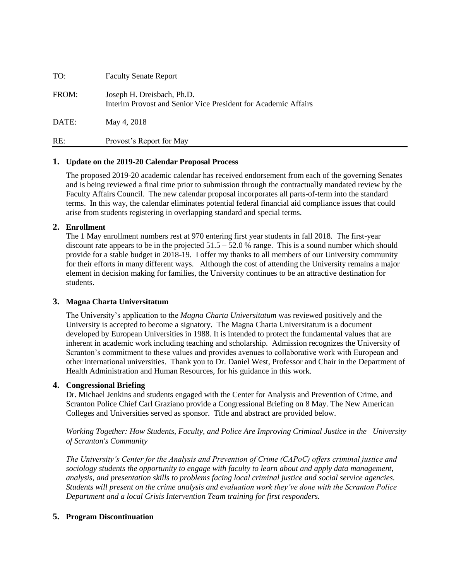| TO:   | <b>Faculty Senate Report</b>                                                                 |
|-------|----------------------------------------------------------------------------------------------|
| FROM: | Joseph H. Dreisbach, Ph.D.<br>Interim Provost and Senior Vice President for Academic Affairs |
| DATE: | May 4, 2018                                                                                  |
| RE:   | Provost's Report for May                                                                     |

### **1. Update on the 2019-20 Calendar Proposal Process**

The proposed 2019-20 academic calendar has received endorsement from each of the governing Senates and is being reviewed a final time prior to submission through the contractually mandated review by the Faculty Affairs Council. The new calendar proposal incorporates all parts-of-term into the standard terms. In this way, the calendar eliminates potential federal financial aid compliance issues that could arise from students registering in overlapping standard and special terms.

### **2. Enrollment**

The 1 May enrollment numbers rest at 970 entering first year students in fall 2018. The first-year discount rate appears to be in the projected  $51.5 - 52.0$  % range. This is a sound number which should provide for a stable budget in 2018-19. I offer my thanks to all members of our University community for their efforts in many different ways. Although the cost of attending the University remains a major element in decision making for families, the University continues to be an attractive destination for students.

#### **3. Magna Charta Universitatum**

The University's application to the *Magna Charta Universitatum* was reviewed positively and the University is accepted to become a signatory. The Magna Charta Universitatum is a document developed by European Universities in 1988. It is intended to protect the fundamental values that are inherent in academic work including teaching and scholarship. Admission recognizes the University of Scranton's commitment to these values and provides avenues to collaborative work with European and other international universities. Thank you to Dr. Daniel West, Professor and Chair in the Department of Health Administration and Human Resources, for his guidance in this work.

### **4. Congressional Briefing**

Dr. Michael Jenkins and students engaged with the Center for Analysis and Prevention of Crime, and Scranton Police Chief Carl Graziano provide a Congressional Briefing on 8 May. The New American Colleges and Universities served as sponsor. Title and abstract are provided below.

*Working Together: How Students, Faculty, and Police Are Improving Criminal Justice in the University of Scranton's Community* 

*The University's Center for the Analysis and Prevention of Crime (CAPoC) offers criminal justice and sociology students the opportunity to engage with faculty to learn about and apply data management, analysis, and presentation skills to problems facing local criminal justice and social service agencies. Students will present on the crime analysis and evaluation work they've done with the Scranton Police Department and a local Crisis Intervention Team training for first responders.*

### **5. Program Discontinuation**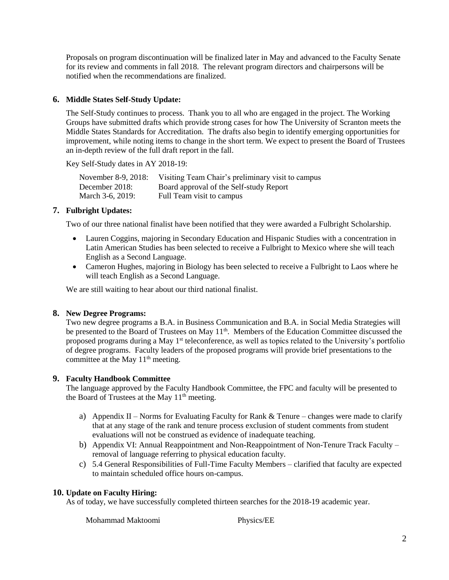Proposals on program discontinuation will be finalized later in May and advanced to the Faculty Senate for its review and comments in fall 2018. The relevant program directors and chairpersons will be notified when the recommendations are finalized.

# **6. Middle States Self-Study Update:**

The Self-Study continues to process. Thank you to all who are engaged in the project. The Working Groups have submitted drafts which provide strong cases for how The University of Scranton meets the Middle States Standards for Accreditation. The drafts also begin to identify emerging opportunities for improvement, while noting items to change in the short term. We expect to present the Board of Trustees an in-depth review of the full draft report in the fall.

Key Self-Study dates in AY 2018-19:

| November 8-9, 2018: | Visiting Team Chair's preliminary visit to campus |
|---------------------|---------------------------------------------------|
| December 2018:      | Board approval of the Self-study Report           |
| March 3-6, 2019:    | Full Team visit to campus                         |

# **7. Fulbright Updates:**

Two of our three national finalist have been notified that they were awarded a Fulbright Scholarship.

- Lauren Coggins, majoring in Secondary Education and Hispanic Studies with a concentration in Latin American Studies has been selected to receive a Fulbright to Mexico where she will teach English as a Second Language.
- Cameron Hughes, majoring in Biology has been selected to receive a Fulbright to Laos where he will teach English as a Second Language.

We are still waiting to hear about our third national finalist.

# **8. New Degree Programs:**

Two new degree programs a B.A. in Business Communication and B.A. in Social Media Strategies will be presented to the Board of Trustees on May 11<sup>th</sup>. Members of the Education Committee discussed the proposed programs during a May 1st teleconference, as well as topics related to the University's portfolio of degree programs. Faculty leaders of the proposed programs will provide brief presentations to the committee at the May 11<sup>th</sup> meeting.

# **9. Faculty Handbook Committee**

The language approved by the Faculty Handbook Committee, the FPC and faculty will be presented to the Board of Trustees at the May 11<sup>th</sup> meeting.

- a) Appendix II Norms for Evaluating Faculty for Rank & Tenure changes were made to clarify that at any stage of the rank and tenure process exclusion of student comments from student evaluations will not be construed as evidence of inadequate teaching.
- b) Appendix VI: Annual Reappointment and Non-Reappointment of Non-Tenure Track Faculty removal of language referring to physical education faculty.
- c) 5.4 General Responsibilities of Full-Time Faculty Members clarified that faculty are expected to maintain scheduled office hours on-campus.

# **10. Update on Faculty Hiring:**

As of today, we have successfully completed thirteen searches for the 2018-19 academic year.

Mohammad Maktoomi Physics/EE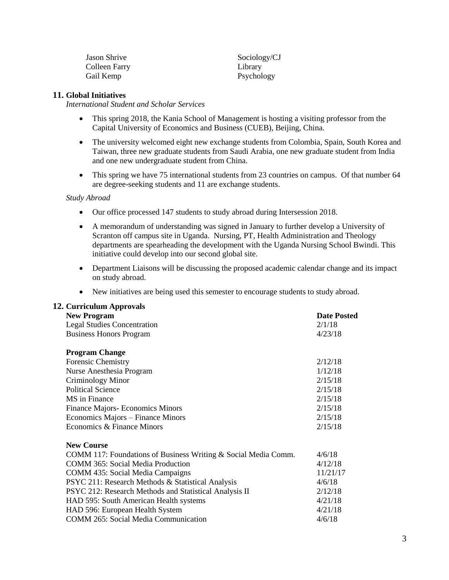| <b>Jason Shrive</b> | Sociology/CJ |
|---------------------|--------------|
| Colleen Farry       | Library      |
| Gail Kemp           | Psychology   |

#### **11. Global Initiatives**

*International Student and Scholar Services*

- This spring 2018, the Kania School of Management is hosting a visiting professor from the Capital University of Economics and Business (CUEB), Beijing, China.
- The university welcomed eight new exchange students from Colombia, Spain, South Korea and Taiwan, three new graduate students from Saudi Arabia, one new graduate student from India and one new undergraduate student from China.
- This spring we have 75 international students from 23 countries on campus. Of that number 64 are degree-seeking students and 11 are exchange students.

#### *Study Abroad*

- Our office processed 147 students to study abroad during Intersession 2018.
- A memorandum of understanding was signed in January to further develop a University of Scranton off campus site in Uganda. Nursing, PT, Health Administration and Theology departments are spearheading the development with the Uganda Nursing School Bwindi. This initiative could develop into our second global site.
- Department Liaisons will be discussing the proposed academic calendar change and its impact on study abroad.
- New initiatives are being used this semester to encourage students to study abroad.

### **12. Curriculum Approvals**

| <b>New Program</b>                                             | <b>Date Posted</b> |
|----------------------------------------------------------------|--------------------|
| <b>Legal Studies Concentration</b>                             | 2/1/18             |
| <b>Business Honors Program</b>                                 | 4/23/18            |
|                                                                |                    |
| <b>Program Change</b>                                          |                    |
| <b>Forensic Chemistry</b>                                      | 2/12/18            |
| Nurse Anesthesia Program                                       | 1/12/18            |
| Criminology Minor                                              | 2/15/18            |
| <b>Political Science</b>                                       | 2/15/18            |
| MS in Finance                                                  | 2/15/18            |
| Finance Majors- Economics Minors                               | 2/15/18            |
| Economics Majors – Finance Minors                              | 2/15/18            |
| Economics & Finance Minors                                     | 2/15/18            |
| <b>New Course</b>                                              |                    |
| COMM 117: Foundations of Business Writing & Social Media Comm. | 4/6/18             |
| <b>COMM 365: Social Media Production</b>                       | 4/12/18            |
| <b>COMM 435: Social Media Campaigns</b>                        | 11/21/17           |
| PSYC 211: Research Methods & Statistical Analysis              | 4/6/18             |
| PSYC 212: Research Methods and Statistical Analysis II         | 2/12/18            |
| HAD 595: South American Health systems                         | 4/21/18            |
| HAD 596: European Health System                                | 4/21/18            |
| <b>COMM 265: Social Media Communication</b>                    | 4/6/18             |